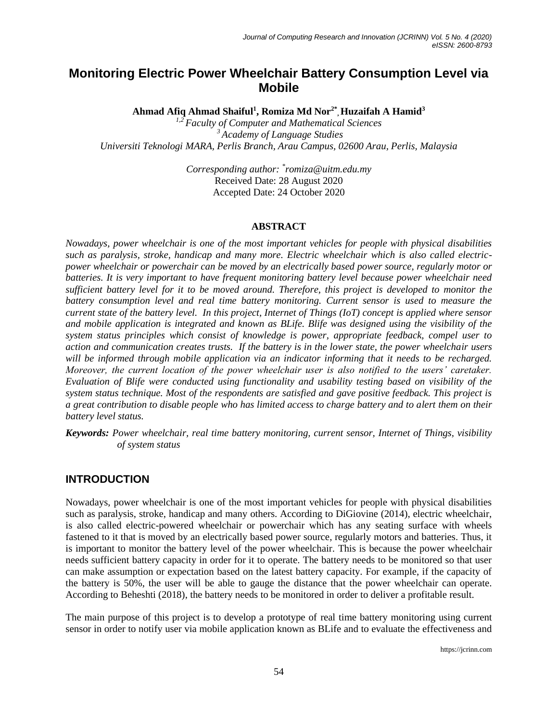# **Monitoring Electric Power Wheelchair Battery Consumption Level via Mobile**

**Ahmad Afiq Ahmad Shaiful<sup>1</sup> , Romiza Md Nor2\* , Huzaifah A Hamid<sup>3</sup>**

*1,2 Faculty of Computer and Mathematical Sciences <sup>3</sup> Academy of Language Studies Universiti Teknologi MARA, Perlis Branch, Arau Campus, 02600 Arau, Perlis, Malaysia*

> *Corresponding author: \* romiza@uitm.edu.my* Received Date: 28 August 2020 Accepted Date: 24 October 2020

#### **ABSTRACT**

*Nowadays, power wheelchair is one of the most important vehicles for people with physical disabilities such as paralysis, stroke, handicap and many more. Electric wheelchair which is also called electricpower wheelchair or powerchair can be moved by an electrically based power source, regularly motor or batteries. It is very important to have frequent monitoring battery level because power wheelchair need sufficient battery level for it to be moved around. Therefore, this project is developed to monitor the battery consumption level and real time battery monitoring. Current sensor is used to measure the current state of the battery level. In this project, Internet of Things (IoT) concept is applied where sensor and mobile application is integrated and known as BLife. Blife was designed using the visibility of the system status principles which consist of knowledge is power, appropriate feedback, compel user to action and communication creates trusts. If the battery is in the lower state, the power wheelchair users will be informed through mobile application via an indicator informing that it needs to be recharged. Moreover, the current location of the power wheelchair user is also notified to the users' caretaker. Evaluation of Blife were conducted using functionality and usability testing based on visibility of the system status technique. Most of the respondents are satisfied and gave positive feedback. This project is a great contribution to disable people who has limited access to charge battery and to alert them on their battery level status.*

*Keywords: Power wheelchair, real time battery monitoring, current sensor, Internet of Things, visibility of system status*

#### **INTRODUCTION**

Nowadays, power wheelchair is one of the most important vehicles for people with physical disabilities such as paralysis, stroke, handicap and many others. According to DiGiovine (2014), electric wheelchair, is also called electric-powered wheelchair or powerchair which has any seating surface with wheels fastened to it that is moved by an electrically based power source, regularly motors and batteries. Thus, it is important to monitor the battery level of the power wheelchair. This is because the power wheelchair needs sufficient battery capacity in order for it to operate. The battery needs to be monitored so that user can make assumption or expectation based on the latest battery capacity. For example, if the capacity of the battery is 50%, the user will be able to gauge the distance that the power wheelchair can operate. According to Beheshti (2018), the battery needs to be monitored in order to deliver a profitable result.

The main purpose of this project is to develop a prototype of real time battery monitoring using current sensor in order to notify user via mobile application known as BLife and to evaluate the effectiveness and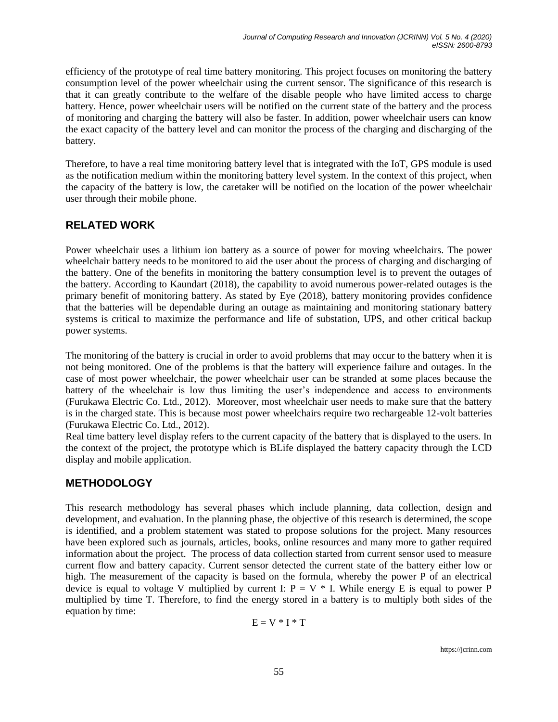efficiency of the prototype of real time battery monitoring. This project focuses on monitoring the battery consumption level of the power wheelchair using the current sensor. The significance of this research is that it can greatly contribute to the welfare of the disable people who have limited access to charge battery. Hence, power wheelchair users will be notified on the current state of the battery and the process of monitoring and charging the battery will also be faster. In addition, power wheelchair users can know the exact capacity of the battery level and can monitor the process of the charging and discharging of the battery.

Therefore, to have a real time monitoring battery level that is integrated with the IoT, GPS module is used as the notification medium within the monitoring battery level system. In the context of this project, when the capacity of the battery is low, the caretaker will be notified on the location of the power wheelchair user through their mobile phone.

## **RELATED WORK**

Power wheelchair uses a lithium ion battery as a source of power for moving wheelchairs. The power wheelchair battery needs to be monitored to aid the user about the process of charging and discharging of the battery. One of the benefits in monitoring the battery consumption level is to prevent the outages of the battery. According to Kaundart (2018), the capability to avoid numerous power-related outages is the primary benefit of monitoring battery. As stated by Eye (2018), battery monitoring provides confidence that the batteries will be dependable during an outage as maintaining and monitoring stationary battery systems is critical to maximize the performance and life of substation, UPS, and other critical backup power systems.

The monitoring of the battery is crucial in order to avoid problems that may occur to the battery when it is not being monitored. One of the problems is that the battery will experience failure and outages. In the case of most power wheelchair, the power wheelchair user can be stranded at some places because the battery of the wheelchair is low thus limiting the user's independence and access to environments (Furukawa Electric Co. Ltd., 2012). Moreover, most wheelchair user needs to make sure that the battery is in the charged state. This is because most power wheelchairs require two rechargeable 12-volt batteries (Furukawa Electric Co. Ltd., 2012).

Real time battery level display refers to the current capacity of the battery that is displayed to the users. In the context of the project, the prototype which is BLife displayed the battery capacity through the LCD display and mobile application.

## **METHODOLOGY**

This research methodology has several phases which include planning, data collection, design and development, and evaluation. In the planning phase, the objective of this research is determined, the scope is identified, and a problem statement was stated to propose solutions for the project. Many resources have been explored such as journals, articles, books, online resources and many more to gather required information about the project. The process of data collection started from current sensor used to measure current flow and battery capacity. Current sensor detected the current state of the battery either low or high. The measurement of the capacity is based on the formula, whereby the power P of an electrical device is equal to voltage V multiplied by current I:  $P = V * I$ . While energy E is equal to power P multiplied by time T. Therefore, to find the energy stored in a battery is to multiply both sides of the equation by time:

$$
E=V\mathrel{\hbox{\tiny{*}}}\nolimits I\mathrel{\hbox{\tiny{*}}}\nolimits T
$$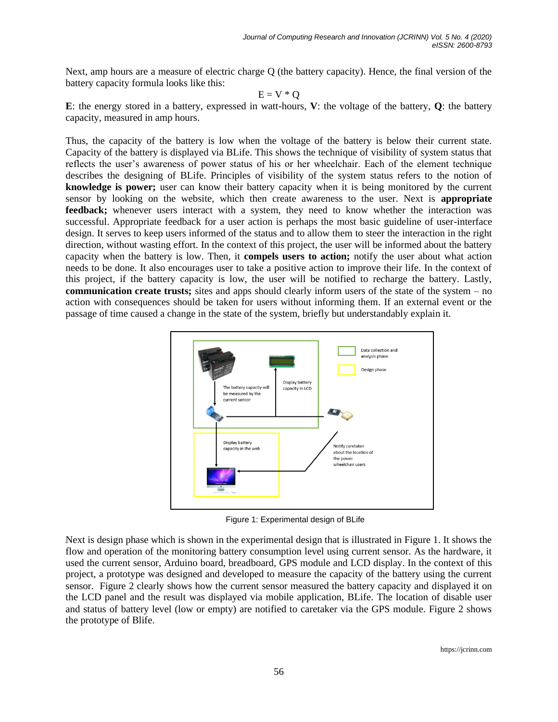Next, amp hours are a measure of electric charge Q (the battery capacity). Hence, the final version of the battery capacity formula looks like this:

$$
E = V * Q
$$

**E**: the energy stored in a battery, expressed in watt-hours, **V**: the voltage of the battery, **Q**: the battery capacity, measured in amp hours.

Thus, the capacity of the battery is low when the voltage of the battery is below their current state. Capacity of the battery is displayed via BLife. This shows the technique of visibility of system status that reflects the user's awareness of power status of his or her wheelchair. Each of the element technique describes the designing of BLife. Principles of visibility of the system status refers to the notion of **knowledge is power;** user can know their battery capacity when it is being monitored by the current sensor by looking on the website, which then create awareness to the user. Next is **appropriate**  feedback; whenever users interact with a system, they need to know whether the interaction was successful. Appropriate feedback for a user action is perhaps the most basic guideline of user-interface design. It serves to keep users informed of the status and to allow them to steer the interaction in the right direction, without wasting effort. In the context of this project, the user will be informed about the battery capacity when the battery is low. Then, it **compels users to action;** notify the user about what action needs to be done. It also encourages user to take a positive action to improve their life. In the context of this project, if the battery capacity is low, the user will be notified to recharge the battery. Lastly, **communication create trusts;** sites and apps should clearly inform users of the state of the system – no action with consequences should be taken for users without informing them. If an external event or the passage of time caused a change in the state of the system, briefly but understandably explain it.



Figure 1: Experimental design of BLife

Next is design phase which is shown in the experimental design that is illustrated in Figure 1. It shows the flow and operation of the monitoring battery consumption level using current sensor. As the hardware, it used the current sensor, Arduino board, breadboard, GPS module and LCD display. In the context of this project, a prototype was designed and developed to measure the capacity of the battery using the current sensor. Figure 2 clearly shows how the current sensor measured the battery capacity and displayed it on the LCD panel and the result was displayed via mobile application, BLife. The location of disable user and status of battery level (low or empty) are notified to caretaker via the GPS module. Figure 2 shows the prototype of Blife.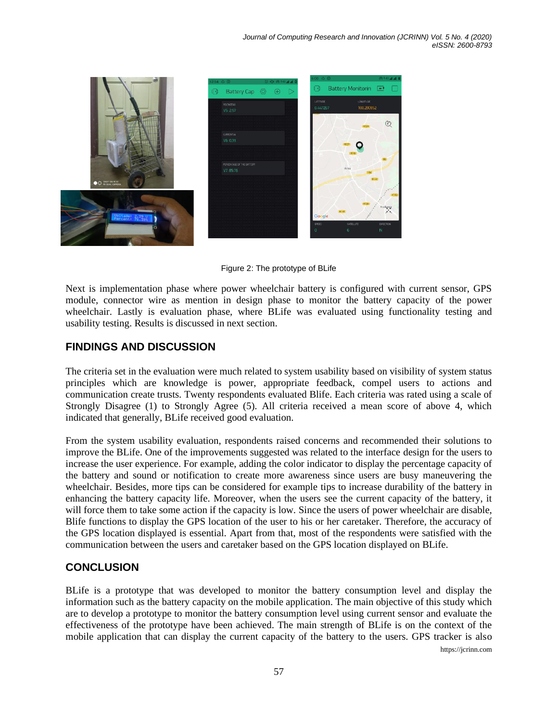

Figure 2: The prototype of BLife

Next is implementation phase where power wheelchair battery is configured with current sensor, GPS module, connector wire as mention in design phase to monitor the battery capacity of the power wheelchair. Lastly is evaluation phase, where BLife was evaluated using functionality testing and usability testing. Results is discussed in next section.

### **FINDINGS AND DISCUSSION**

The criteria set in the evaluation were much related to system usability based on visibility of system status principles which are knowledge is power, appropriate feedback, compel users to actions and communication create trusts. Twenty respondents evaluated Blife. Each criteria was rated using a scale of Strongly Disagree (1) to Strongly Agree (5). All criteria received a mean score of above 4, which indicated that generally, BLife received good evaluation.

From the system usability evaluation, respondents raised concerns and recommended their solutions to improve the BLife. One of the improvements suggested was related to the interface design for the users to increase the user experience. For example, adding the color indicator to display the percentage capacity of the battery and sound or notification to create more awareness since users are busy maneuvering the wheelchair. Besides, more tips can be considered for example tips to increase durability of the battery in enhancing the battery capacity life. Moreover, when the users see the current capacity of the battery, it will force them to take some action if the capacity is low. Since the users of power wheelchair are disable, Blife functions to display the GPS location of the user to his or her caretaker. Therefore, the accuracy of the GPS location displayed is essential. Apart from that, most of the respondents were satisfied with the communication between the users and caretaker based on the GPS location displayed on BLife.

### **CONCLUSION**

https://jcrinn.com BLife is a prototype that was developed to monitor the battery consumption level and display the information such as the battery capacity on the mobile application. The main objective of this study which are to develop a prototype to monitor the battery consumption level using current sensor and evaluate the effectiveness of the prototype have been achieved. The main strength of BLife is on the context of the mobile application that can display the current capacity of the battery to the users. GPS tracker is also